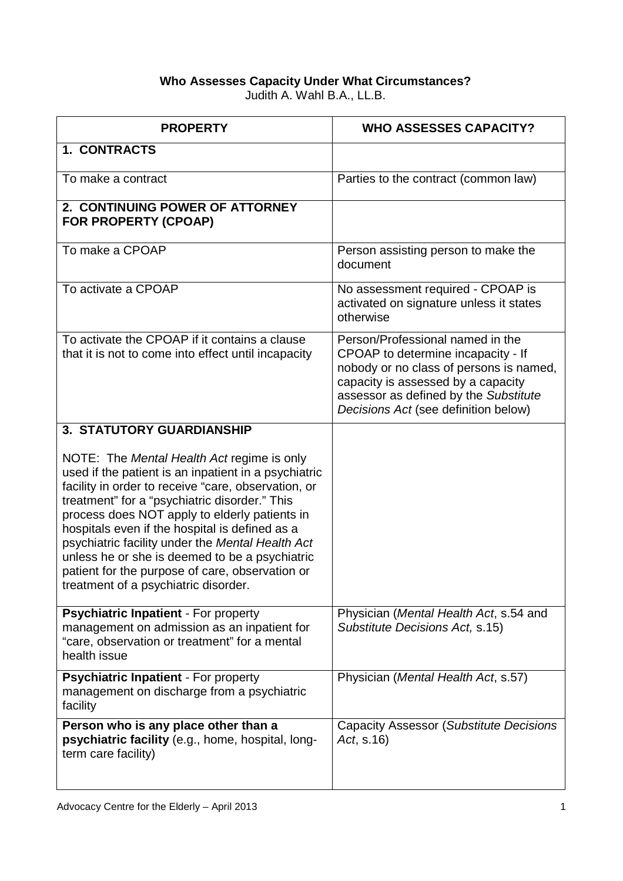## **Who Assesses Capacity Under What Circumstances?**  Judith A. Wahl B.A., LL.B.

| <b>PROPERTY</b>                                                                                                                                                                                                                                                                                                                                                                                                                                                                                                | <b>WHO ASSESSES CAPACITY?</b>                                                                                                                                                                                                            |
|----------------------------------------------------------------------------------------------------------------------------------------------------------------------------------------------------------------------------------------------------------------------------------------------------------------------------------------------------------------------------------------------------------------------------------------------------------------------------------------------------------------|------------------------------------------------------------------------------------------------------------------------------------------------------------------------------------------------------------------------------------------|
| 1. CONTRACTS                                                                                                                                                                                                                                                                                                                                                                                                                                                                                                   |                                                                                                                                                                                                                                          |
| To make a contract                                                                                                                                                                                                                                                                                                                                                                                                                                                                                             | Parties to the contract (common law)                                                                                                                                                                                                     |
| 2. CONTINUING POWER OF ATTORNEY<br><b>FOR PROPERTY (CPOAP)</b>                                                                                                                                                                                                                                                                                                                                                                                                                                                 |                                                                                                                                                                                                                                          |
| To make a CPOAP                                                                                                                                                                                                                                                                                                                                                                                                                                                                                                | Person assisting person to make the<br>document                                                                                                                                                                                          |
| To activate a CPOAP                                                                                                                                                                                                                                                                                                                                                                                                                                                                                            | No assessment required - CPOAP is<br>activated on signature unless it states<br>otherwise                                                                                                                                                |
| To activate the CPOAP if it contains a clause<br>that it is not to come into effect until incapacity                                                                                                                                                                                                                                                                                                                                                                                                           | Person/Professional named in the<br>CPOAP to determine incapacity - If<br>nobody or no class of persons is named,<br>capacity is assessed by a capacity<br>assessor as defined by the Substitute<br>Decisions Act (see definition below) |
| <b>3. STATUTORY GUARDIANSHIP</b>                                                                                                                                                                                                                                                                                                                                                                                                                                                                               |                                                                                                                                                                                                                                          |
| NOTE: The Mental Health Act regime is only<br>used if the patient is an inpatient in a psychiatric<br>facility in order to receive "care, observation, or<br>treatment" for a "psychiatric disorder." This<br>process does NOT apply to elderly patients in<br>hospitals even if the hospital is defined as a<br>psychiatric facility under the Mental Health Act<br>unless he or she is deemed to be a psychiatric<br>patient for the purpose of care, observation or<br>treatment of a psychiatric disorder. |                                                                                                                                                                                                                                          |
| Psychiatric Inpatient - For property<br>management on admission as an inpatient for<br>"care, observation or treatment" for a mental<br>health issue                                                                                                                                                                                                                                                                                                                                                           | Physician (Mental Health Act, s.54 and<br>Substitute Decisions Act, s.15)                                                                                                                                                                |
| Psychiatric Inpatient - For property<br>management on discharge from a psychiatric<br>facility                                                                                                                                                                                                                                                                                                                                                                                                                 | Physician (Mental Health Act, s.57)                                                                                                                                                                                                      |
| Person who is any place other than a<br>psychiatric facility (e.g., home, hospital, long-<br>term care facility)                                                                                                                                                                                                                                                                                                                                                                                               | Capacity Assessor (Substitute Decisions<br>Act, s.16)                                                                                                                                                                                    |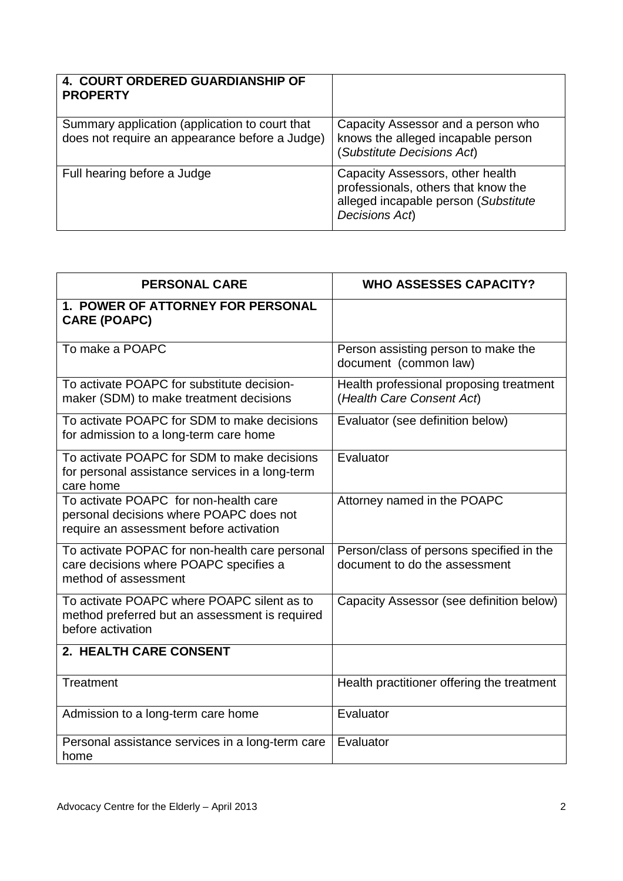| <b>4. COURT ORDERED GUARDIANSHIP OF</b><br><b>PROPERTY</b>                                       |                                                                                                                                   |
|--------------------------------------------------------------------------------------------------|-----------------------------------------------------------------------------------------------------------------------------------|
| Summary application (application to court that<br>does not require an appearance before a Judge) | Capacity Assessor and a person who<br>knows the alleged incapable person<br>(Substitute Decisions Act)                            |
| Full hearing before a Judge                                                                      | Capacity Assessors, other health<br>professionals, others that know the<br>alleged incapable person (Substitute<br>Decisions Act) |

| <b>PERSONAL CARE</b>                                                                                                        | <b>WHO ASSESSES CAPACITY?</b>                                             |
|-----------------------------------------------------------------------------------------------------------------------------|---------------------------------------------------------------------------|
| 1. POWER OF ATTORNEY FOR PERSONAL<br><b>CARE (POAPC)</b>                                                                    |                                                                           |
| To make a POAPC                                                                                                             | Person assisting person to make the<br>document (common law)              |
| To activate POAPC for substitute decision-<br>maker (SDM) to make treatment decisions                                       | Health professional proposing treatment<br>(Health Care Consent Act)      |
| To activate POAPC for SDM to make decisions<br>for admission to a long-term care home                                       | Evaluator (see definition below)                                          |
| To activate POAPC for SDM to make decisions<br>for personal assistance services in a long-term<br>care home                 | Evaluator                                                                 |
| To activate POAPC for non-health care<br>personal decisions where POAPC does not<br>require an assessment before activation | Attorney named in the POAPC                                               |
| To activate POPAC for non-health care personal<br>care decisions where POAPC specifies a<br>method of assessment            | Person/class of persons specified in the<br>document to do the assessment |
| To activate POAPC where POAPC silent as to<br>method preferred but an assessment is required<br>before activation           | Capacity Assessor (see definition below)                                  |
| 2. HEALTH CARE CONSENT                                                                                                      |                                                                           |
| <b>Treatment</b>                                                                                                            | Health practitioner offering the treatment                                |
| Admission to a long-term care home                                                                                          | Evaluator                                                                 |
| Personal assistance services in a long-term care<br>home                                                                    | Evaluator                                                                 |